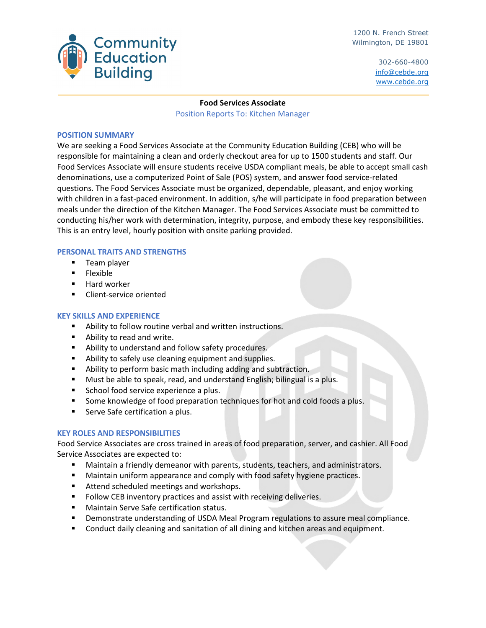

1200 N. French Street Wilmington, DE 19801

> 302-660-4800 info@cebde.org www.cebde.org

**Food Services Associate** Position Reports To: Kitchen Manager

### **POSITION SUMMARY**

We are seeking a Food Services Associate at the Community Education Building (CEB) who will be responsible for maintaining a clean and orderly checkout area for up to 1500 students and staff. Our Food Services Associate will ensure students receive USDA compliant meals, be able to accept small cash denominations, use a computerized Point of Sale (POS) system, and answer food service‐related questions. The Food Services Associate must be organized, dependable, pleasant, and enjoy working with children in a fast-paced environment. In addition, s/he will participate in food preparation between meals under the direction of the Kitchen Manager. The Food Services Associate must be committed to conducting his/her work with determination, integrity, purpose, and embody these key responsibilities. This is an entry level, hourly position with onsite parking provided.

# **PERSONAL TRAITS AND STRENGTHS**

- **Team player**
- **Flexible**
- **Hard worker**
- Client-service oriented

# **KEY SKILLS AND EXPERIENCE**

- Ability to follow routine verbal and written instructions.
- Ability to read and write.
- Ability to understand and follow safety procedures.
- **EXECT** Ability to safely use cleaning equipment and supplies.
- Ability to perform basic math including adding and subtraction.
- **Must be able to speak, read, and understand English; bilingual is a plus.**
- School food service experience a plus.
- **Some knowledge of food preparation techniques for hot and cold foods a plus.**
- **Serve Safe certification a plus.**

# **KEY ROLES AND RESPONSIBILITIES**

Food Service Associates are cross trained in areas of food preparation, server, and cashier. All Food Service Associates are expected to:

- Maintain a friendly demeanor with parents, students, teachers, and administrators.
- **Maintain uniform appearance and comply with food safety hygiene practices.**
- Attend scheduled meetings and workshops.
- Follow CEB inventory practices and assist with receiving deliveries.
- **Maintain Serve Safe certification status.**
- **Phonomal Demonstrate understanding of USDA Meal Program regulations to assure meal compliance.**
- Conduct daily cleaning and sanitation of all dining and kitchen areas and equipment.